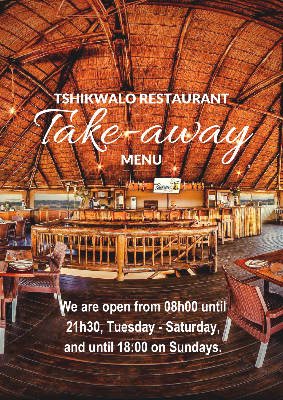

TSHIKWALO RESTAURANT

MENU

**Waya** 

SHKWNOM, HILL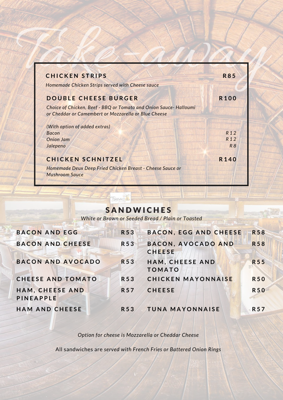| <b>CHICKEN STRIPS</b>                                                                                                    | <b>R85</b>      |
|--------------------------------------------------------------------------------------------------------------------------|-----------------|
| Homemade Chicken Strips served with Cheese sauce                                                                         |                 |
| <b>DOUBLE CHEESE BURGER</b>                                                                                              | <b>R100</b>     |
| Choice of Chicken, Beef - BBQ or Tomato and Onion Sauce-Halloumi<br>or Cheddar or Camembert or Mozzarella or Blue Cheese |                 |
| (With option of added extras)                                                                                            |                 |
| <b>Bacon</b>                                                                                                             | R <sub>12</sub> |
| <b>Onion Jam</b>                                                                                                         | R <sub>12</sub> |
| Jalepeno                                                                                                                 | R8              |
|                                                                                                                          |                 |

# **SANDWICHES**

SHIKWALO A

*White or Brown or Seeded Bread / Plain or Toasted*

| <b>BACON AND EGG</b>                | <b>R53</b> | BACON, EGG AND CHEESE               | <b>R58</b> |
|-------------------------------------|------------|-------------------------------------|------------|
| <b>BACON AND CHEESE</b>             | <b>R53</b> | BACON, AVOCADO AND<br><b>CHEESE</b> | <b>R58</b> |
| <b>BACON AND AVOCADO</b>            | R 5 3      | HAM, CHEESE AND<br><b>TOMATO</b>    | <b>R55</b> |
| <b>CHEESE AND TOMATO</b>            | R53        | <b>CHICKEN MAYONNAISE</b>           | <b>R50</b> |
| HAM, CHEESE AND<br><b>PINEAPPLE</b> | <b>R57</b> | <b>CHEESE</b>                       | <b>R50</b> |
| <b>HAM AND CHEESE</b>               | R 53       | <b>TUNA MAYONNAISE</b>              | <b>R57</b> |

*Option for cheese is Mozzarella or Cheddar Cheese*

All sandwiches are *served with French Fries or Battered Onion Rings*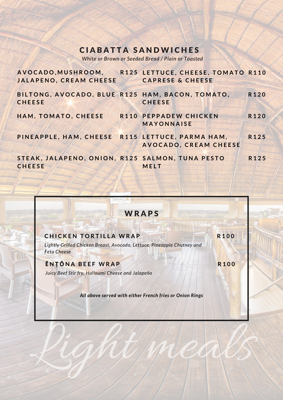### **CIABATTA SANDWICHES**

*White or Brown or Seeded Bread / Plain or Toasted*

| <b>JALAPENO, CREAM CHEESE</b>                                    | AVOCADO, MUSHROOM, R125 LETTUCE, CHEESE, TOMATO R110<br><b>CAPRESE &amp; CHEESE</b> |                  |
|------------------------------------------------------------------|-------------------------------------------------------------------------------------|------------------|
| BILTONG, AVOCADO, BLUE R125 HAM, BACON, TOMATO,<br><b>CHEESE</b> | <b>CHEESE</b>                                                                       | R120             |
| HAM, TOMATO, CHEESE                                              | R110 PEPPADEW CHICKEN<br><b>MAYONNAISE</b>                                          | R <sub>120</sub> |
| PINEAPPLE, HAM, CHEESE R115 LETTUCE, PARMA HAM,                  | AVOCADO, CREAM CHEESE                                                               | R125             |
| STEAK, JALAPENO, ONION, R125 SALMON, TUNA PESTO<br><b>CHEESE</b> | MELT                                                                                | R <sub>125</sub> |

## **WRAPS**

**R 1 0 0**

**R 1 0 0**

CHICKEN TORTILLA WRAP<br>Lightly Grilled Chicken Breast, Avocado, Lettuce, Pineapple Chutney and<br>Feta Cheese<br>Luicy Beef Stir fry, Halloumi Cheese and Jalapeño<br>All above served with either French fries or Onion Rings<br>All above *Lightly Grilled Chicken Breast, Avocado, Lettuce, Pineapple Chutney and Feta Cheese*

**Ē N Ṭ Ō N A B E E F W R A P** *Juicy Beef Stir fry, Halloumi Cheese and Jalapeño* 

*All above served with either French fries or Onion Rings*